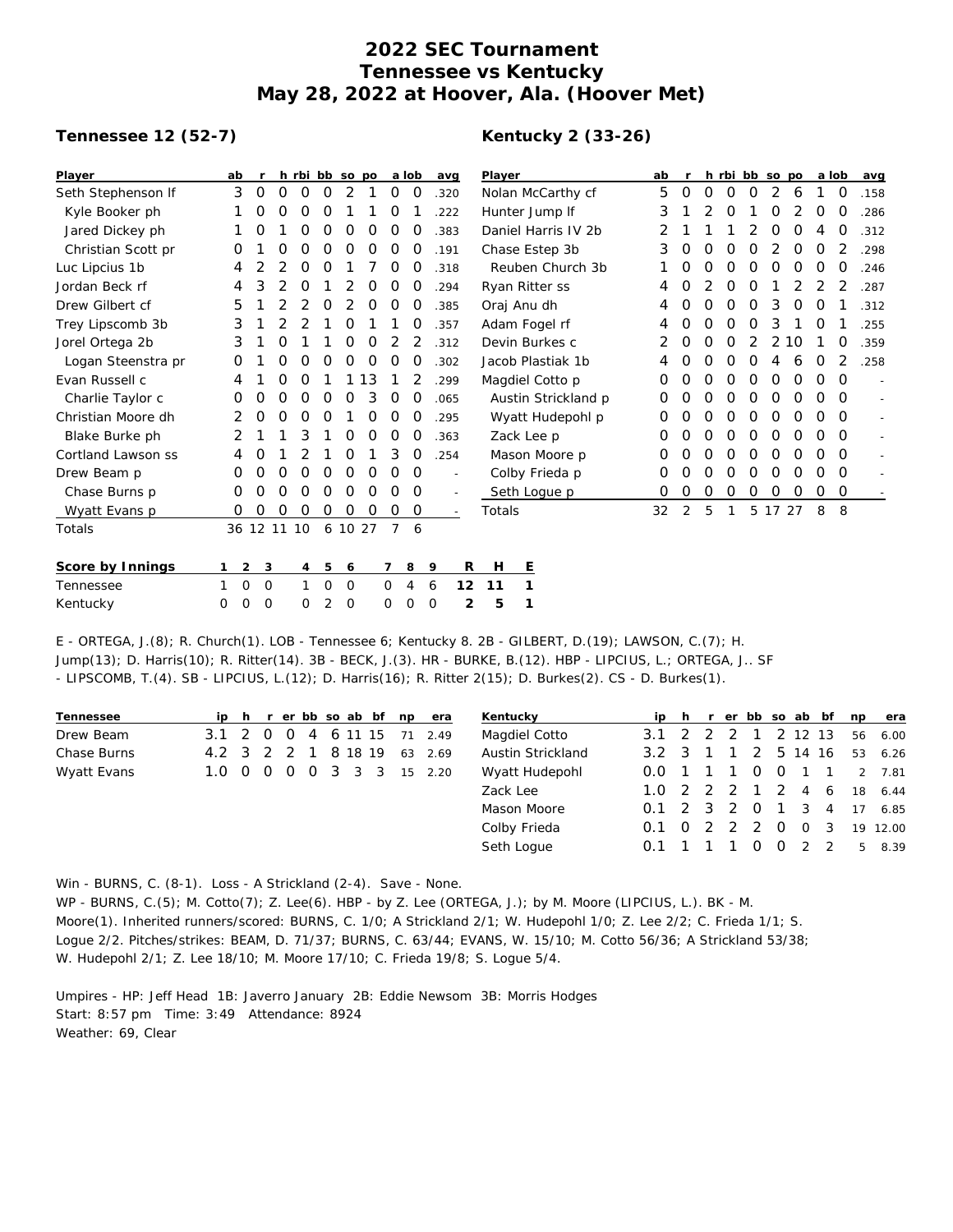# **2022 SEC Tournament Tennessee vs Kentucky May 28, 2022 at Hoover, Ala. (Hoover Met)**

## **Tennessee 12 (52-7)**

# **Kentucky 2 (33-26)**

| Player                                                                                                                                            | ab                |             |             |              |             | h rbi bb so po |    |                | a lob    | avg         |                          | Player |                     | ab |                |   |   | h rbi bb so po |          |    | a lob |                | avg                      |
|---------------------------------------------------------------------------------------------------------------------------------------------------|-------------------|-------------|-------------|--------------|-------------|----------------|----|----------------|----------|-------------|--------------------------|--------|---------------------|----|----------------|---|---|----------------|----------|----|-------|----------------|--------------------------|
| Seth Stephenson If                                                                                                                                | 3                 | $\circ$     | 0           | O            | 0           | 2              | 1  | 0              | 0        | .320        |                          |        | Nolan McCarthy cf   | 5  | 0              | 0 | 0 | 0              | 2        | 6  |       | 0              | .158                     |
| Kyle Booker ph                                                                                                                                    |                   | O           | 0           | 0            | O           |                |    | O              |          | .222        |                          |        | Hunter Jump If      | 3  |                |   | 0 |                | O        |    | 0     | 0              | .286                     |
| Jared Dickey ph                                                                                                                                   |                   | O           |             | O            | O           | 0              | O  | O              | O        | .383        |                          |        | Daniel Harris IV 2b |    |                |   |   |                | O        | O  | 4     | O              | .312                     |
| Christian Scott pr                                                                                                                                | Ο                 |             | 0           | Ο            | O           | Ο              | Ο  | O              | O        | .191        |                          |        | Chase Estep 3b      | 3  | 0              | 0 | O | Ο              |          | 0  | 0     | 2              | .298                     |
| Luc Lipcius 1b                                                                                                                                    | 4                 | 2           | 2           | 0            | O           |                |    | O              | O        | .318        |                          |        | Reuben Church 3b    |    | 0              | Ο | 0 | O              | O        | O  | 0     | O              | .246                     |
| Jordan Beck rf                                                                                                                                    | 4                 | 3           | 2           | 0            |             | 2              | O  | O              | O        | .294        |                          |        | Ryan Ritter ss      | 4  | Ο              | 2 | 0 | O              |          | 2  |       | 2              | .287                     |
| Drew Gilbert cf                                                                                                                                   | 5                 |             | 2           | 2            | O           | 2              | O  | 0              | O        | .385        |                          |        | Oraj Anu dh         | 4  | 0              | 0 | 0 | 0              | 3        | 0  | 0     |                | .312                     |
| Trey Lipscomb 3b                                                                                                                                  | 3                 |             | 2           | 2            |             | 0              |    |                | O        | .357        |                          |        | Adam Fogel rf       | 4  | 0              | 0 | 0 | 0              | 3        |    | 0     |                | .255                     |
| Jorel Ortega 2b                                                                                                                                   | 3                 |             | 0           |              |             | 0              | 0  | 2              |          | .312        |                          |        | Devin Burkes c      | 2  | 0              | 0 | 0 | 2              | 2        | 10 |       | 0              | .359                     |
| Logan Steenstra pr                                                                                                                                | Ο                 |             | 0           | 0            | Ο           | 0              | O  | O              | O        | .302        |                          |        | Jacob Plastiak 1b   | 4  | Ο              | Ο | 0 | O              | 4        | 6  | 0     | $\overline{2}$ | .258                     |
| Evan Russell c                                                                                                                                    | 4                 |             | 0           | 0            |             |                | 13 |                |          | .299        |                          |        | Magdiel Cotto p     | 0  | 0              | 0 | 0 | 0              | 0        | 0  | 0     | $\Omega$       | $\overline{a}$           |
| Charlie Taylor c                                                                                                                                  | Ο                 | Ο           | 0           | O            | 0           | O              | 3  | 0              | O        | .065        |                          |        | Austin Strickland p | Ο  | 0              | 0 | 0 | 0              | 0        | O  | 0     | $\Omega$       | $\sim$                   |
| Christian Moore dh                                                                                                                                | 2                 | 0           | 0           | O            | O           |                | O  | 0              | 0        | .295        |                          |        | Wyatt Hudepohl p    | 0  | 0              | 0 | 0 | 0              | 0        | 0  | 0     | 0              | $\sim$                   |
| Blake Burke ph                                                                                                                                    | 2                 |             |             | 3            |             | 0              | 0  | 0              | $\Omega$ | .363        |                          |        | Zack Lee p          | Ω  | Ο              | Ο | 0 | 0              | 0        | O  | 0     | $\Omega$       | $\overline{\phantom{a}}$ |
| Cortland Lawson ss                                                                                                                                | 4                 | O           |             | 2            |             | 0              |    | 3              | O        | .254        |                          |        | Mason Moore p       | O  | 0              | 0 | 0 | 0              | $\Omega$ | O  | 0     | $\Omega$       | $\blacksquare$           |
| Drew Beam p                                                                                                                                       | O                 | O           | O           | 0            | O           | 0              | 0  | O              | 0        |             | $\overline{\phantom{a}}$ |        | Colby Frieda p      | 0  | Ο              | 0 | 0 | 0              | 0        | 0  | Ο     | 0              | $\overline{a}$           |
| Chase Burns p                                                                                                                                     | 0                 | 0           | 0           | O            | 0           | 0              | 0  | O              | 0        |             |                          |        | Seth Loque p        | 0  | 0              | 0 | 0 | 0              | 0        | 0  | 0     | 0              |                          |
| Wyatt Evans p                                                                                                                                     | O                 | 0           | 0           | 0            | 0           | O              | O  | 0              | O        |             |                          | Totals |                     | 32 | $\overline{2}$ | 5 | 1 | 5              | 17       | 27 | 8     | 8              |                          |
| Totals                                                                                                                                            |                   |             | 36 12 11 10 |              |             | 6 10 27        |    | $\overline{7}$ | 6        |             |                          |        |                     |    |                |   |   |                |          |    |       |                |                          |
| Score by Innings                                                                                                                                  | 2                 | 3           |             | 4            | 5           | 6              |    | 7              | 8        | 9           | R                        | Н      | E                   |    |                |   |   |                |          |    |       |                |                          |
| Tennessee                                                                                                                                         | $\mathbf{O}$<br>1 | $\mathbf 0$ |             | $\mathbf{1}$ | $\mathbf 0$ | $\mathbf 0$    |    | $\mathbf 0$    | 4        | 6           | 12                       | 11     | 1                   |    |                |   |   |                |          |    |       |                |                          |
| Kentucky                                                                                                                                          | 0<br>0            | 0           |             | 0            | 2           | $\circ$        |    | $\Omega$       | $\Omega$ | $\mathbf 0$ | 2                        | 5      | 1                   |    |                |   |   |                |          |    |       |                |                          |
| $F$ $\bigcap FCA$ $\bigcap (8)$ $D$ $Church(1)$ $\bigcap R$ $TannaseaA$ $KenturkAB$ $2R$ $CHREDT$ $D$ $(10)$ $\bigcap (10)$ $NMSOM$ $C$ $(7)$ $H$ |                   |             |             |              |             |                |    |                |          |             |                          |        |                     |    |                |   |   |                |          |    |       |                |                          |

E - ORTEGA, J.(8); R. Church(1). LOB - Tennessee 6; Kentucky 8. 2B - GILBERT, D.(19); LAWSON, C.(7); H. Jump(13); D. Harris(10); R. Ritter(14). 3B - BECK, J.(3). HR - BURKE, B.(12). HBP - LIPCIUS, L.; ORTEGA, J.. SF - LIPSCOMB, T.(4). SB - LIPCIUS, L.(12); D. Harris(16); R. Ritter 2(15); D. Burkes(2). CS - D. Burkes(1).

| Tennessee   |                   |  |   |  |         | ip h r er bb so ab bf np era | Kentucky          |               |   |                |                |          |           | ip h r er bb so ab bf | np       | era      |
|-------------|-------------------|--|---|--|---------|------------------------------|-------------------|---------------|---|----------------|----------------|----------|-----------|-----------------------|----------|----------|
| Drew Beam   | 3.1 2 0 0         |  | 4 |  | 6 11 15 | 71 2.49                      | Magdiel Cotto     | $3.1 \quad 2$ | 2 |                |                |          | 1 2 12 13 |                       |          | 56 6.00  |
| Chase Burns | 4.2 3 2 2 1       |  |   |  | 8 18 19 | 63 2.69                      | Austin Strickland | $3.2 \quad 3$ |   |                | -2             |          |           | 5 14 16               |          | 53 6.26  |
| Wyatt Evans | 1.0 0 0 0 0 3 3 3 |  |   |  |         | 15 2.20                      | Wyatt Hudepohl    | 0.0 1 1 1 0   |   |                |                |          |           | 0 1 1                 |          | 2 7.81   |
|             |                   |  |   |  |         |                              | Zack Lee          | $1.0 \t2 \t2$ |   | $\overline{2}$ |                |          |           | 1 2 4 6               |          | 18 6.44  |
|             |                   |  |   |  |         |                              | Mason Moore       | $0.1$ 2 3 2   |   |                | $\overline{0}$ |          |           |                       | 1 3 4 17 | 6.85     |
|             |                   |  |   |  |         |                              | Colby Frieda      | $0.1 \quad 0$ | 2 | 2              | - 2            | $\Omega$ |           | 0 <sup>3</sup>        |          | 19 12.00 |
|             |                   |  |   |  |         |                              | Seth Logue        | $0.1 \quad 1$ |   |                |                |          |           | 2 2                   |          | 5 8.39   |

Win - BURNS, C. (8-1). Loss - A Strickland (2-4). Save - None.

WP - BURNS, C.(5); M. Cotto(7); Z. Lee(6). HBP - by Z. Lee (ORTEGA, J.); by M. Moore (LIPCIUS, L.). BK - M. Moore(1). Inherited runners/scored: BURNS, C. 1/0; A Strickland 2/1; W. Hudepohl 1/0; Z. Lee 2/2; C. Frieda 1/1; S. Logue 2/2. Pitches/strikes: BEAM, D. 71/37; BURNS, C. 63/44; EVANS, W. 15/10; M. Cotto 56/36; A Strickland 53/38; W. Hudepohl 2/1; Z. Lee 18/10; M. Moore 17/10; C. Frieda 19/8; S. Logue 5/4.

Umpires - HP: Jeff Head 1B: Javerro January 2B: Eddie Newsom 3B: Morris Hodges Start: 8:57 pm Time: 3:49 Attendance: 8924 Weather: 69, Clear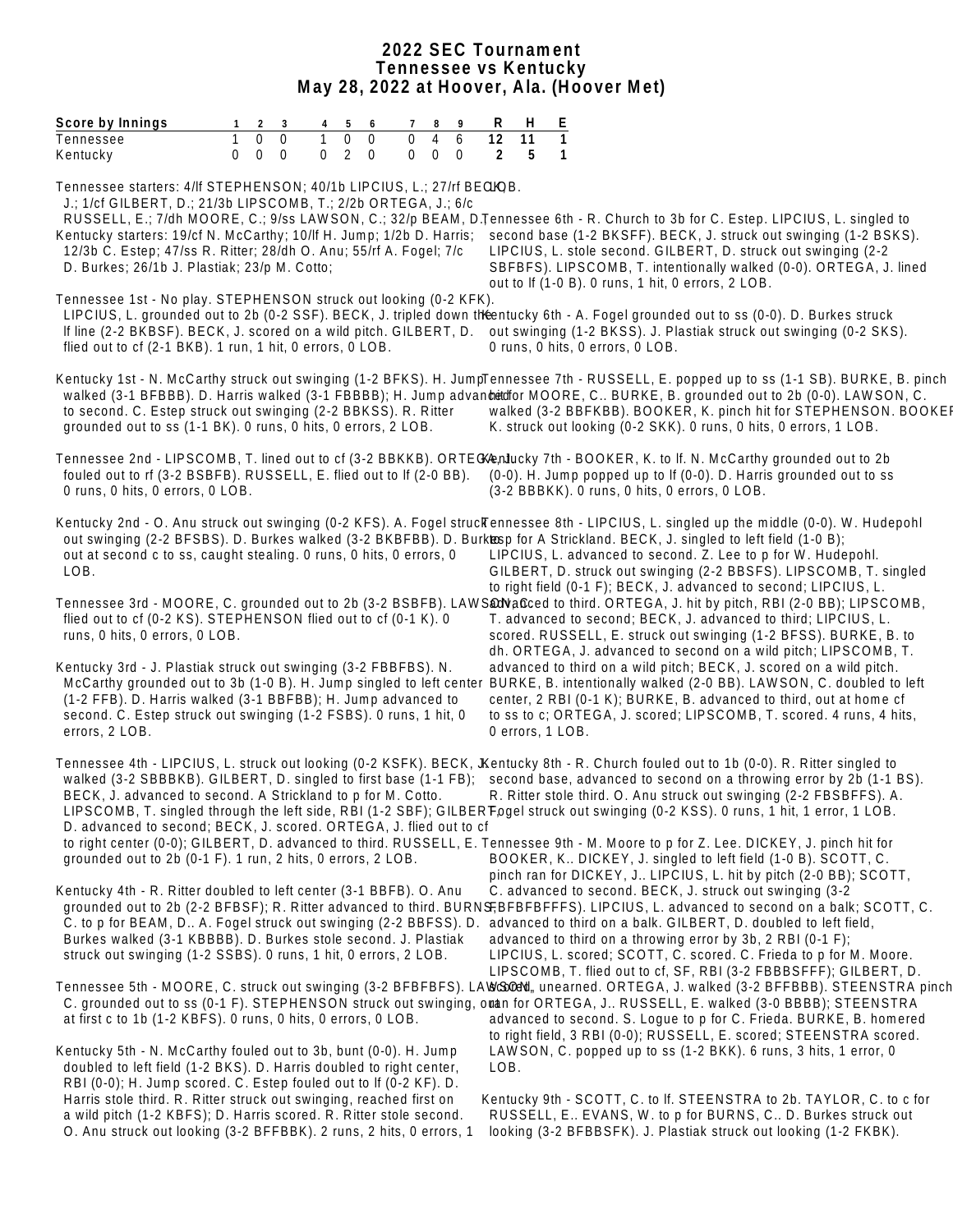## **2022 SEC Tournament Tennessee vs Kentucky May 28, 2022 at Hoover, Ala. (Hoover Met)**

| Score by Innings                                                                                                                                                                                                                                                                                                                                                                                                                                                                                                                                              | $\mathbf{1}$ | $2 \quad 3$                |                                  |          | 5                   | 6                          | 7 <sup>7</sup>       | 8                          |               | R                    |      | H                | E                 |                                                                                                                                                                                            |  |  |  |                                                                                                                                            |  |
|---------------------------------------------------------------------------------------------------------------------------------------------------------------------------------------------------------------------------------------------------------------------------------------------------------------------------------------------------------------------------------------------------------------------------------------------------------------------------------------------------------------------------------------------------------------|--------------|----------------------------|----------------------------------|----------|---------------------|----------------------------|----------------------|----------------------------|---------------|----------------------|------|------------------|-------------------|--------------------------------------------------------------------------------------------------------------------------------------------------------------------------------------------|--|--|--|--------------------------------------------------------------------------------------------------------------------------------------------|--|
| Tennessee<br>Kentucky                                                                                                                                                                                                                                                                                                                                                                                                                                                                                                                                         | $\Omega$     | $\overline{0}$<br>$\Omega$ | $\overline{0}$<br>$\overline{0}$ | $\Omega$ | $\overline{0}$<br>2 | $\Omega$<br>$\overline{0}$ | $\Omega$<br>$\Omega$ | $\overline{4}$<br>$\Omega$ | 6<br>$\Omega$ | $\overline{12}$<br>2 |      | 11<br>5          | $\mathbf{1}$<br>1 |                                                                                                                                                                                            |  |  |  |                                                                                                                                            |  |
| Tennessee starters: 4/lf STEPHENSON; 40/1b LIPCIUS, L.; 27/rf BEQIQB.<br>J.; 1/cf GILBERT, D.; 21/3b LIPSCOMB, T.; 2/2b ORTEGA, J.; 6/c<br>RUSSELL, E.; 7/dh MOORE, C.; 9/ss LAWSON, C.; 32/p BEAM, D.Tennessee 6th - R. Church to 3b for C. Estep. LIPCIUS, L. singled to<br>Kentucky starters: 19/cf N. McCarthy; 10/lf H. Jump; 1/2b D. Harris;<br>12/3b C. Estep; 47/ss R. Ritter; 28/dh O. Anu; 55/rf A. Fogel; 7/c<br>D. Burkes; 26/1b J. Plastiak; 23/p M. Cotto;                                                                                      |              |                            |                                  |          |                     |                            |                      |                            |               |                      |      |                  |                   | LIPCIUS, L. stole second. GILBERT, D. struck out swinging (2-2)<br>out to If (1-0 B). 0 runs, 1 hit, 0 errors, 2 LOB.                                                                      |  |  |  | second base (1-2 BKSFF). BECK, J. struck out swinging (1-2 BSKS).<br>SBFBFS). LIPSCOMB, T. intentionally walked (0-0). ORTEGA, J. lined    |  |
| Tennessee 1st - No play. STEPHENSON struck out looking (0-2 KFK).<br>LIPCIUS, L. grounded out to 2b (0-2 SSF). BECK, J. tripled down the entucky 6th - A. Fogel grounded out to ss (0-0). D. Burkes struck<br>If line (2-2 BKBSF). BECK, J. scored on a wild pitch. GILBERT, D.<br>flied out to cf (2-1 BKB). 1 run, 1 hit, 0 errors, 0 LOB.                                                                                                                                                                                                                  |              |                            |                                  |          |                     |                            |                      |                            |               |                      |      |                  |                   | out swinging (1-2 BKSS). J. Plastiak struck out swinging (0-2 SKS).<br>0 runs, 0 hits, 0 errors, 0 LOB.                                                                                    |  |  |  |                                                                                                                                            |  |
| Kentucky 1st - N. McCarthy struck out swinging (1-2 BFKS). H. JumpTennessee 7th - RUSSELL, E. popped up to ss (1-1 SB). BURKE, B. pinch<br>walked (3-1 BFBBB). D. Harris walked (3-1 FBBBB); H. Jump advantition MOORE, C BURKE, B. grounded out to 2b (0-0). LAWSON, C.<br>to second. C. Estep struck out swinging (2-2 BBKSS). R. Ritter<br>grounded out to ss (1-1 BK). 0 runs, 0 hits, 0 errors, 2 LOB.                                                                                                                                                   |              |                            |                                  |          |                     |                            |                      |                            |               |                      |      |                  |                   | K. struck out looking (0-2 SKK). 0 runs, 0 hits, 0 errors, 1 LOB.                                                                                                                          |  |  |  | walked (3-2 BBFKBB). BOOKER, K. pinch hit for STEPHENSON. BOOKEI                                                                           |  |
| Tennessee 2nd - LIPSCOMB, T. lined out to cf (3-2 BBKKB). ORTECKenlucky 7th - BOOKER, K. to If. N. McCarthy grounded out to 2b<br>fouled out to rf (3-2 BSBFB). RUSSELL, E. flied out to If (2-0 BB).<br>0 runs, 0 hits, 0 errors, 0 LOB.                                                                                                                                                                                                                                                                                                                     |              |                            |                                  |          |                     |                            |                      |                            |               |                      |      |                  |                   | (0-0). H. Jump popped up to If (0-0). D. Harris grounded out to ss<br>(3-2 BBBKK). 0 runs, 0 hits, 0 errors, 0 LOB.                                                                        |  |  |  |                                                                                                                                            |  |
| Kentucky 2nd - O. Anu struck out swinging (0-2 KFS). A. Fogel struckennessee 8th - LIPCIUS, L. singled up the middle (0-0). W. Hudepohl<br>out swinging (2-2 BFSBS). D. Burkes walked (3-2 BKBFBB). D. Burkesp for A Strickland. BECK, J. singled to left field (1-0 B);<br>out at second c to ss, caught stealing. 0 runs, 0 hits, 0 errors, 0<br>LOB.                                                                                                                                                                                                       |              |                            |                                  |          |                     |                            |                      |                            |               |                      |      |                  |                   | LIPCIUS, L. advanced to second. Z. Lee to p for W. Hudepohl.<br>to right field (0-1 F); BECK, J. advanced to second; LIPCIUS, L.                                                           |  |  |  | GILBERT, D. struck out swinging (2-2 BBSFS). LIPSCOMB, T. singled                                                                          |  |
| Tennessee 3rd - MOORE, C. grounded out to 2b (3-2 BSBFB). LAWS <b>aNa</b> 6ced to third. ORTEGA, J. hit by pitch, RBI (2-0 BB); LIPSCOMB,<br>flied out to cf (0-2 KS). STEPHENSON flied out to cf (0-1 K). 0<br>runs, 0 hits, 0 errors, 0 LOB.                                                                                                                                                                                                                                                                                                                |              |                            |                                  |          |                     |                            |                      |                            |               |                      |      |                  |                   | T. advanced to second; BECK, J. advanced to third; LIPCIUS, L.                                                                                                                             |  |  |  | scored. RUSSELL, E. struck out swinging (1-2 BFSS). BURKE, B. to<br>dh. ORTEGA, J. advanced to second on a wild pitch; LIPSCOMB, T.        |  |
| Kentucky 3rd - J. Plastiak struck out swinging (3-2 FBBFBS). N.<br>McCarthy grounded out to 3b (1-0 B). H. Jump singled to left center<br>(1-2 FFB). D. Harris walked (3-1 BBFBB); H. Jump advanced to<br>second. C. Estep struck out swinging (1-2 FSBS). 0 runs, 1 hit, 0<br>errors, 2 LOB.                                                                                                                                                                                                                                                                 |              |                            |                                  |          |                     |                            |                      |                            |               |                      |      | 0 errors, 1 LOB. |                   | advanced to third on a wild pitch; BECK, J. scored on a wild pitch.<br>center, 2 RBI (0-1 K); BURKE, B. advanced to third, out at home cf                                                  |  |  |  | BURKE, B. intentionally walked (2-0 BB). LAWSON, C. doubled to left<br>to ss to c; ORTEGA, J. scored; LIPSCOMB, T. scored. 4 runs, 4 hits, |  |
| Tennessee 4th - LIPCIUS, L. struck out looking (0-2 KSFK). BECK, JKentucky 8th - R. Church fouled out to 1b (0-0). R. Ritter singled to<br>walked (3-2 SBBBKB). GILBERT, D. singled to first base (1-1 FB); second base, advanced to second on a throwing error by 2b (1-1 BS).<br>BECK, J. advanced to second. A Strickland to p for M. Cotto.<br>LIPSCOMB, T. singled through the left side, RBI (1-2 SBF); GILBERTogel struck out swinging (0-2 KSS). 0 runs, 1 hit, 1 error, 1 LOB.<br>D. advanced to second; BECK, J. scored. ORTEGA, J. flied out to cf |              |                            |                                  |          |                     |                            |                      |                            |               |                      |      |                  |                   | R. Ritter stole third. O. Anu struck out swinging (2-2 FBSBFFS). A.                                                                                                                        |  |  |  |                                                                                                                                            |  |
| to right center (0-0); GILBERT, D. advanced to third. RUSSELL, E. Tennessee 9th - M. Moore to p for Z. Lee. DICKEY, J. pinch hit for<br>grounded out to 2b (0-1 F). 1 run, 2 hits, 0 errors, 2 LOB.                                                                                                                                                                                                                                                                                                                                                           |              |                            |                                  |          |                     |                            |                      |                            |               |                      |      |                  |                   | BOOKER, K DICKEY, J. singled to left field (1-0 B). SCOTT, C.                                                                                                                              |  |  |  | pinch ran for DICKEY, J LIPCIUS, L. hit by pitch (2-0 BB); SCOTT,                                                                          |  |
| Kentucky 4th - R. Ritter doubled to left center (3-1 BBFB). O. Anu<br>grounded out to 2b (2-2 BFBSF); R. Ritter advanced to third. BURNSFBFBFFFFS). LIPCIUS, L. advanced to second on a balk; SCOTT, C.<br>C. to p for BEAM, D A. Fogel struck out swinging (2-2 BBFSS). D.<br>Burkes walked (3-1 KBBBB). D. Burkes stole second. J. Plastiak<br>struck out swinging (1-2 SSBS). 0 runs, 1 hit, 0 errors, 2 LOB.                                                                                                                                              |              |                            |                                  |          |                     |                            |                      |                            |               |                      |      |                  |                   | C. advanced to second. BECK, J. struck out swinging (3-2<br>advanced to third on a balk. GILBERT, D. doubled to left field,<br>advanced to third on a throwing error by 3b, 2 RBI (0-1 F); |  |  |  | LIPCIUS, L. scored; SCOTT, C. scored. C. Frieda to p for M. Moore.<br>LIPSCOMB, T. flied out to cf, SF, RBI (3-2 FBBBSFFF); GILBERT, D.    |  |
| Tennessee 5th - MOORE, C. struck out swinging (3-2 BFBFBFS). LA\&\\$@\\, unearned. ORTEGA, J. walked (3-2 BFFBBB). STEENSTRA pinch<br>C. grounded out to ss (0-1 F). STEPHENSON struck out swinging, orden for ORTEGA, J RUSSELL, E. walked (3-0 BBBB); STEENSTRA<br>at first c to 1b (1-2 KBFS). 0 runs, 0 hits, 0 errors, 0 LOB.                                                                                                                                                                                                                            |              |                            |                                  |          |                     |                            |                      |                            |               |                      |      |                  |                   |                                                                                                                                                                                            |  |  |  | advanced to second. S. Logue to p for C. Frieda. BURKE, B. homered<br>to right field, 3 RBI (0-0); RUSSELL, E. scored; STEENSTRA scored.   |  |
| Kentucky 5th - N. McCarthy fouled out to 3b, bunt (0-0). H. Jump<br>doubled to left field (1-2 BKS). D. Harris doubled to right center,<br>RBI (0-0); H. Jump scored. C. Estep fouled out to If (0-2 KF). D.                                                                                                                                                                                                                                                                                                                                                  |              |                            |                                  |          |                     |                            |                      |                            |               |                      | LOB. |                  |                   | LAWSON, C. popped up to ss (1-2 BKK). 6 runs, 3 hits, 1 error, 0                                                                                                                           |  |  |  |                                                                                                                                            |  |
| Harris stole third. R. Ritter struck out swinging, reached first on<br>a wild pitch (1-2 KBFS); D. Harris scored. R. Ritter stole second.<br>O. Anu struck out looking (3-2 BFFBBK). 2 runs, 2 hits, 0 errors, 1                                                                                                                                                                                                                                                                                                                                              |              |                            |                                  |          |                     |                            |                      |                            |               |                      |      |                  |                   | looking (3-2 BFBBSFK). J. Plastiak struck out looking (1-2 FKBK).                                                                                                                          |  |  |  | Kentucky 9th - SCOTT, C. to If. STEENSTRA to 2b. TAYLOR, C. to c for<br>RUSSELL, E EVANS, W. to p for BURNS, C D. Burkes struck out        |  |